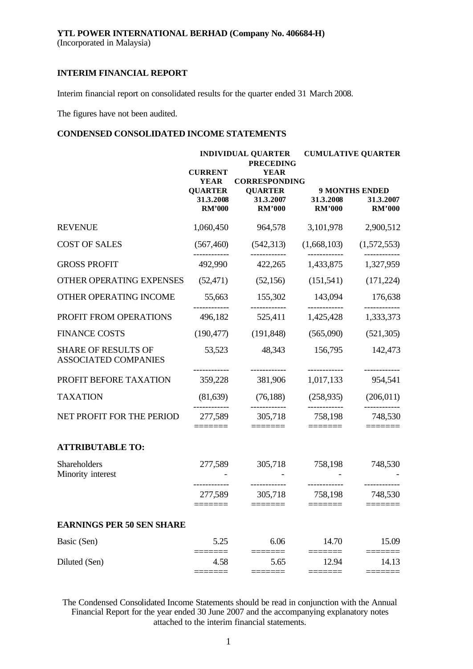Interim financial report on consolidated results for the quarter ended 31 March 2008.

The figures have not been audited.

# **CONDENSED CONSOLIDATED INCOME STATEMENTS**

|                                                           | <b>CURRENT</b>                                              | <b>INDIVIDUAL QUARTER</b><br><b>PRECEDING</b><br><b>YEAR</b>                                                                                                                                                                                                                                                                                                                                                                                                                       |                                                                                                                                                                                                                                                                                                                                                                                                                                                                                            | <b>CUMULATIVE QUARTER</b>                           |
|-----------------------------------------------------------|-------------------------------------------------------------|------------------------------------------------------------------------------------------------------------------------------------------------------------------------------------------------------------------------------------------------------------------------------------------------------------------------------------------------------------------------------------------------------------------------------------------------------------------------------------|--------------------------------------------------------------------------------------------------------------------------------------------------------------------------------------------------------------------------------------------------------------------------------------------------------------------------------------------------------------------------------------------------------------------------------------------------------------------------------------------|-----------------------------------------------------|
|                                                           | <b>YEAR</b><br><b>QUARTER</b><br>31.3.2008<br><b>RM'000</b> | <b>CORRESPONDING</b><br><b>QUARTER</b><br>31.3.2007<br><b>RM'000</b>                                                                                                                                                                                                                                                                                                                                                                                                               | 31.3.2008<br><b>RM'000</b>                                                                                                                                                                                                                                                                                                                                                                                                                                                                 | <b>9 MONTHS ENDED</b><br>31.3.2007<br><b>RM'000</b> |
| <b>REVENUE</b>                                            | 1,060,450                                                   | 964,578                                                                                                                                                                                                                                                                                                                                                                                                                                                                            | 3,101,978                                                                                                                                                                                                                                                                                                                                                                                                                                                                                  | 2,900,512                                           |
| <b>COST OF SALES</b>                                      | (567, 460)                                                  | (542, 313)                                                                                                                                                                                                                                                                                                                                                                                                                                                                         | (1,668,103)                                                                                                                                                                                                                                                                                                                                                                                                                                                                                | (1,572,553)                                         |
| <b>GROSS PROFIT</b>                                       | 492,990                                                     | 422,265                                                                                                                                                                                                                                                                                                                                                                                                                                                                            | ------------<br>1,433,875                                                                                                                                                                                                                                                                                                                                                                                                                                                                  | 1,327,959                                           |
| OTHER OPERATING EXPENSES                                  | (52, 471)                                                   | (52, 156)                                                                                                                                                                                                                                                                                                                                                                                                                                                                          | (151,541)                                                                                                                                                                                                                                                                                                                                                                                                                                                                                  | (171, 224)                                          |
| OTHER OPERATING INCOME                                    | 55,663                                                      | 155,302                                                                                                                                                                                                                                                                                                                                                                                                                                                                            | 143,094                                                                                                                                                                                                                                                                                                                                                                                                                                                                                    | 176,638                                             |
| PROFIT FROM OPERATIONS                                    | 496,182                                                     | 525,411                                                                                                                                                                                                                                                                                                                                                                                                                                                                            | 1,425,428                                                                                                                                                                                                                                                                                                                                                                                                                                                                                  | 1,333,373                                           |
| <b>FINANCE COSTS</b>                                      | (190, 477)                                                  | (191, 848)                                                                                                                                                                                                                                                                                                                                                                                                                                                                         | (565,090)                                                                                                                                                                                                                                                                                                                                                                                                                                                                                  | (521,305)                                           |
| <b>SHARE OF RESULTS OF</b><br><b>ASSOCIATED COMPANIES</b> | 53,523                                                      | 48,343                                                                                                                                                                                                                                                                                                                                                                                                                                                                             | 156,795                                                                                                                                                                                                                                                                                                                                                                                                                                                                                    | 142,473                                             |
| PROFIT BEFORE TAXATION                                    | 359,228                                                     | 381,906                                                                                                                                                                                                                                                                                                                                                                                                                                                                            | ------------<br>1,017,133                                                                                                                                                                                                                                                                                                                                                                                                                                                                  | 954,541                                             |
| <b>TAXATION</b>                                           | (81, 639)                                                   | (76, 188)                                                                                                                                                                                                                                                                                                                                                                                                                                                                          | (258, 935)                                                                                                                                                                                                                                                                                                                                                                                                                                                                                 | (206, 011)                                          |
| NET PROFIT FOR THE PERIOD                                 | 277,589<br>======                                           | ------------<br>305,718<br>$\begin{array}{c} \textbf{---} \textbf{---} \textbf{---} \end{array}$                                                                                                                                                                                                                                                                                                                                                                                   | ------------<br>758,198<br>$\begin{tabular}{ll} \multicolumn{3}{l}{{\color{blue}\textbf{1}}}\\[-2.0mm]{\color{blue}\textbf{2}}\\[-2.0mm]{\color{blue}\textbf{2}}\\[-2.0mm]{\color{blue}\textbf{3}}\\[-2.0mm]{\color{blue}\textbf{4}}\\[-2.0mm]{\color{blue}\textbf{4}}\\[-2.0mm]{\color{blue}\textbf{4}}\\[-2.0mm]{\color{blue}\textbf{5}}\\[-2.0mm]{\color{blue}\textbf{5}}\\[-2.0mm]{\color{blue}\textbf{5}}\\[-2.0mm]{\color{blue}\textbf{6}}\\[-2.0mm]{\color{blue}\textbf{6}}\\[-2.0$ | ----------<br>748,530                               |
| <b>ATTRIBUTABLE TO:</b>                                   |                                                             |                                                                                                                                                                                                                                                                                                                                                                                                                                                                                    |                                                                                                                                                                                                                                                                                                                                                                                                                                                                                            |                                                     |
| Shareholders<br>Minority interest                         | 277,589                                                     | 305,718                                                                                                                                                                                                                                                                                                                                                                                                                                                                            | 758,198                                                                                                                                                                                                                                                                                                                                                                                                                                                                                    | 748,530                                             |
|                                                           | 277,589                                                     | ------------<br>305,718 758,198<br>$\begin{tabular}{ll} \multicolumn{3}{l}{{\color{blue}\textbf{1}}}\\[-10pt] \multicolumn{3}{l}{\textbf{2}}\\[-10pt] \multicolumn{3}{l}{\textbf{3}}\\[-10pt] \multicolumn{3}{l}{\textbf{4}}\\[-10pt] \multicolumn{3}{l}{\textbf{5}}\\[-10pt] \multicolumn{3}{l}{\textbf{6}}\\[-10pt] \multicolumn{3}{l}{\textbf{7}}\\[-10pt] \multicolumn{3}{l}{\textbf{8}}\\[-10pt] \multicolumn{3}{l}{\textbf{9}}\\[-10pt] \multicolumn{3}{l}{\textbf{1}}\\[-1$ | ------------<br>$\begin{tabular}{ll} \multicolumn{2}{l}{{\color{blue}\textbf{1}}}\\[-2.0mm]{\color{blue}\textbf{2}}\\[-2.0mm]{\color{blue}\textbf{2}}\\[-2.0mm]{\color{blue}\textbf{3}}\\[-2.0mm]{\color{blue}\textbf{4}}\\[-2.0mm]{\color{blue}\textbf{4}}\\[-2.0mm]{\color{blue}\textbf{4}}\\[-2.0mm]{\color{blue}\textbf{5}}\\[-2.0mm]{\color{blue}\textbf{4}}\\[-2.0mm]{\color{blue}\textbf{5}}\\[-2.0mm]{\color{blue}\textbf{5}}\\[-2.0mm]{\color{blue}\textbf{6}}\\[-2.0$            | ----------<br>748,530                               |
| <b>EARNINGS PER 50 SEN SHARE</b>                          |                                                             |                                                                                                                                                                                                                                                                                                                                                                                                                                                                                    |                                                                                                                                                                                                                                                                                                                                                                                                                                                                                            |                                                     |
| Basic (Sen)                                               | 5.25                                                        | 6.06                                                                                                                                                                                                                                                                                                                                                                                                                                                                               | 14.70                                                                                                                                                                                                                                                                                                                                                                                                                                                                                      | 15.09                                               |
| Diluted (Sen)                                             | 4.58                                                        | 5.65                                                                                                                                                                                                                                                                                                                                                                                                                                                                               | 12.94                                                                                                                                                                                                                                                                                                                                                                                                                                                                                      | 14.13                                               |

The Condensed Consolidated Income Statements should be read in conjunction with the Annual Financial Report for the year ended 30 June 2007 and the accompanying explanatory notes attached to the interim financial statements.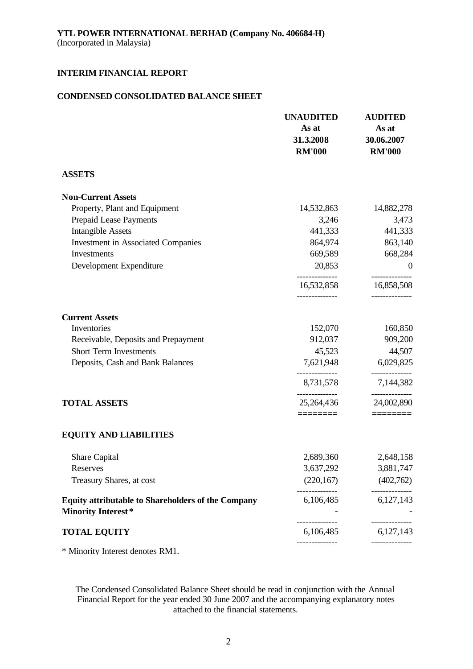# **CONDENSED CONSOLIDATED BALANCE SHEET**

|                                                                                        | <b>UNAUDITED</b><br>As at<br>31.3.2008<br><b>RM'000</b> | <b>AUDITED</b><br>As at<br>30.06.2007<br><b>RM'000</b> |
|----------------------------------------------------------------------------------------|---------------------------------------------------------|--------------------------------------------------------|
| <b>ASSETS</b>                                                                          |                                                         |                                                        |
| <b>Non-Current Assets</b>                                                              |                                                         |                                                        |
| Property, Plant and Equipment                                                          | 14,532,863                                              | 14,882,278                                             |
| Prepaid Lease Payments                                                                 | 3,246                                                   | 3,473                                                  |
| <b>Intangible Assets</b>                                                               | 441,333                                                 | 441,333                                                |
| <b>Investment in Associated Companies</b>                                              | 864,974                                                 | 863,140                                                |
| Investments                                                                            | 669,589                                                 | 668,284                                                |
| Development Expenditure                                                                | 20,853                                                  | $\boldsymbol{0}$                                       |
|                                                                                        | 16,532,858                                              | 16,858,508                                             |
| <b>Current Assets</b>                                                                  |                                                         |                                                        |
| Inventories                                                                            | 152,070                                                 | 160,850                                                |
| Receivable, Deposits and Prepayment                                                    | 912,037                                                 | 909,200                                                |
| <b>Short Term Investments</b>                                                          | 45,523                                                  | 44,507                                                 |
| Deposits, Cash and Bank Balances                                                       | 7,621,948                                               | 6,029,825                                              |
|                                                                                        | 8,731,578                                               | 7,144,382                                              |
| <b>TOTAL ASSETS</b>                                                                    | 25,264,436                                              | 24,002,890                                             |
| <b>EQUITY AND LIABILITIES</b>                                                          | ========                                                |                                                        |
| Share Capital                                                                          | 2,689,360                                               | 2,648,158                                              |
| Reserves                                                                               | 3,637,292                                               | 3,881,747                                              |
| Treasury Shares, at cost                                                               | (220, 167)                                              | (402,762)                                              |
| <b>Equity attributable to Shareholders of the Company</b><br><b>Minority Interest*</b> | 6,106,485                                               | 6,127,143                                              |
| <b>TOTAL EQUITY</b>                                                                    | 6,106,485                                               | 6,127,143                                              |
|                                                                                        |                                                         |                                                        |

\* Minority Interest denotes RM1.

The Condensed Consolidated Balance Sheet should be read in conjunction with the Annual Financial Report for the year ended 30 June 2007 and the accompanying explanatory notes attached to the financial statements.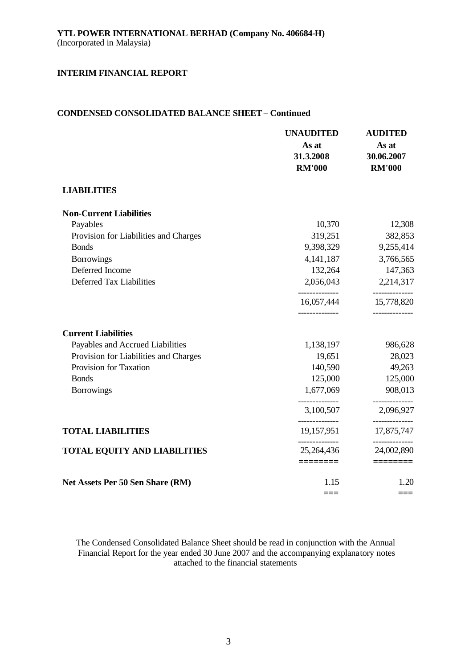# **CONDENSED CONSOLIDATED BALANCE SHEET – Continued**

|                                       | <b>UNAUDITED</b><br>As at<br>31.3.2008<br><b>RM'000</b> | <b>AUDITED</b><br>As at<br>30.06.2007<br><b>RM'000</b> |
|---------------------------------------|---------------------------------------------------------|--------------------------------------------------------|
| <b>LIABILITIES</b>                    |                                                         |                                                        |
| <b>Non-Current Liabilities</b>        |                                                         |                                                        |
| Payables                              | 10,370                                                  | 12,308                                                 |
| Provision for Liabilities and Charges | 319,251                                                 | 382,853                                                |
| <b>Bonds</b>                          | 9,398,329                                               | 9,255,414                                              |
| <b>Borrowings</b>                     | 4, 141, 187                                             | 3,766,565                                              |
| Deferred Income                       | 132,264                                                 | 147,363                                                |
| Deferred Tax Liabilities              | 2,056,043                                               | 2,214,317<br>----------                                |
|                                       | 16,057,444                                              | 15,778,820                                             |
| <b>Current Liabilities</b>            |                                                         |                                                        |
| Payables and Accrued Liabilities      | 1,138,197                                               | 986,628                                                |
| Provision for Liabilities and Charges | 19,651                                                  | 28,023                                                 |
| Provision for Taxation                | 140,590                                                 | 49,263                                                 |
| <b>Bonds</b>                          | 125,000                                                 | 125,000                                                |
| <b>Borrowings</b>                     | 1,677,069                                               | 908,013                                                |
|                                       | 3,100,507                                               | 2,096,927                                              |
| <b>TOTAL LIABILITIES</b>              | 19,157,951                                              | -----------<br>17,875,747                              |
| <b>TOTAL EQUITY AND LIABILITIES</b>   | 25, 264, 436                                            | -----------<br>24,002,890                              |
|                                       | ========                                                | $=$ =======                                            |
| Net Assets Per 50 Sen Share (RM)      | 1.15                                                    | 1.20                                                   |
|                                       | ===                                                     | ===                                                    |

The Condensed Consolidated Balance Sheet should be read in conjunction with the Annual Financial Report for the year ended 30 June 2007 and the accompanying explanatory notes attached to the financial statements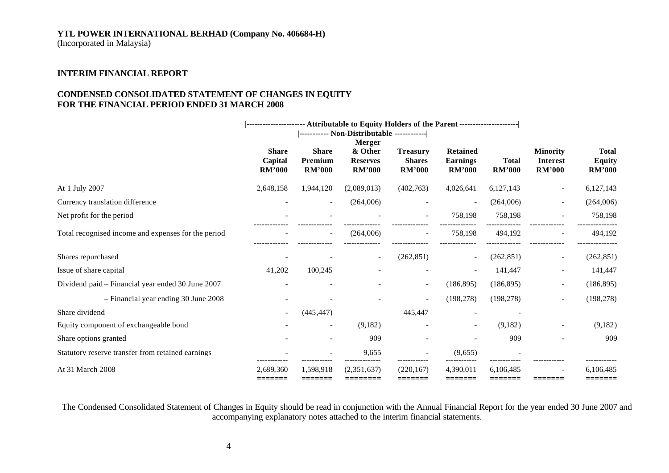# **YTL POWER INTERNATIONAL BERHAD (Company No. 406684-H)**

(Incorporated in Malaysia)

# **INTERIM FINANCIAL REPORT**

# **CONDENSED CONSOLIDATED STATEMENT OF CHANGES IN EQUITY FOR THE FINANCIAL PERIOD ENDED 31 MARCH 2008**

|                                                     |               |                                            | --------------------- Attributable to Equity Holders of the Parent --------------------- |                          |                 |               |                                    |               |
|-----------------------------------------------------|---------------|--------------------------------------------|------------------------------------------------------------------------------------------|--------------------------|-----------------|---------------|------------------------------------|---------------|
|                                                     |               | ----------- Non-Distributable ------------ |                                                                                          |                          |                 |               |                                    |               |
|                                                     | <b>Share</b>  | <b>Share</b>                               | Merger<br>& Other                                                                        | <b>Treasury</b>          | <b>Retained</b> |               |                                    | <b>Total</b>  |
|                                                     | Capital       | Premium                                    | <b>Reserves</b>                                                                          | <b>Shares</b>            | <b>Earnings</b> | <b>Total</b>  | <b>Minority</b><br><b>Interest</b> | <b>Equity</b> |
|                                                     | <b>RM'000</b> | <b>RM'000</b>                              | <b>RM'000</b>                                                                            | <b>RM'000</b>            | <b>RM'000</b>   | <b>RM'000</b> | <b>RM'000</b>                      | <b>RM'000</b> |
| At 1 July 2007                                      | 2,648,158     | 1,944,120                                  | (2,089,013)                                                                              | (402,763)                | 4,026,641       | 6,127,143     |                                    | 6,127,143     |
| Currency translation difference                     |               | $\overline{\phantom{a}}$                   | (264,006)                                                                                |                          |                 | (264,006)     |                                    | (264,006)     |
| Net profit for the period                           |               |                                            |                                                                                          |                          | 758,198         | 758,198       |                                    | 758,198       |
| Total recognised income and expenses for the period |               | $\overline{\phantom{a}}$                   | (264,006)                                                                                |                          | 758,198         | 494,192       |                                    | 494,192       |
| Shares repurchased                                  |               |                                            |                                                                                          | (262, 851)               |                 | (262, 851)    | $\overline{\phantom{0}}$           | (262, 851)    |
| Issue of share capital                              | 41,202        | 100,245                                    |                                                                                          |                          |                 | 141,447       |                                    | 141,447       |
| Dividend paid - Financial year ended 30 June 2007   |               |                                            |                                                                                          | $\overline{\phantom{a}}$ | (186, 895)      | (186, 895)    | $\overline{\phantom{0}}$           | (186, 895)    |
| - Financial year ending 30 June 2008                |               |                                            |                                                                                          | $\overline{\phantom{a}}$ | (198, 278)      | (198, 278)    | $\overline{\phantom{a}}$           | (198, 278)    |
| Share dividend                                      |               | (445, 447)                                 |                                                                                          | 445,447                  |                 |               |                                    |               |
| Equity component of exchangeable bond               |               | $\overline{\phantom{a}}$                   | (9,182)                                                                                  |                          |                 | (9,182)       | $\overline{\phantom{a}}$           | (9,182)       |
| Share options granted                               |               |                                            | 909                                                                                      |                          |                 | 909           |                                    | 909           |
| Statutory reserve transfer from retained earnings   |               |                                            | 9,655                                                                                    |                          | (9.655)         |               |                                    |               |
| At 31 March 2008                                    | 2,689,360     | 1,598,918                                  | (2,351,637)                                                                              | (220, 167)               | 4,390,011       | 6,106,485     |                                    | 6,106,485     |
|                                                     |               |                                            |                                                                                          |                          |                 |               |                                    |               |

The Condensed Consolidated Statement of Changes in Equity should be read in conjunction with the Annual Financial Report for the year ended 30 June 2007 and accompanying explanatory notes attached to the interim financial statements.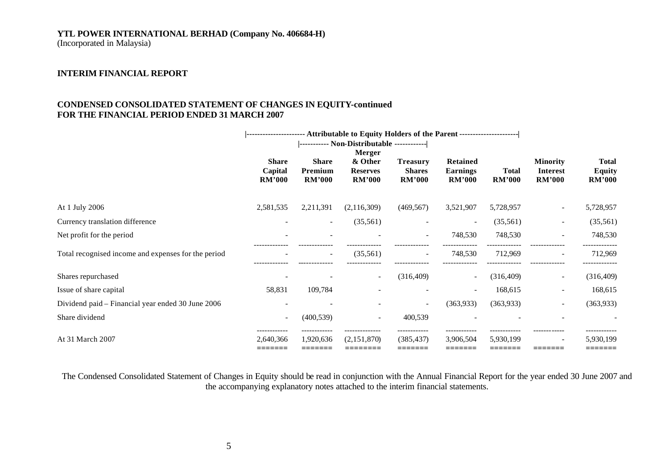# **YTL POWER INTERNATIONAL BERHAD (Company No. 406684-H)**

(Incorporated in Malaysia)

# **INTERIM FINANCIAL REPORT**

# **CONDENSED CONSOLIDATED STATEMENT OF CHANGES IN EQUITY-continued FOR THE FINANCIAL PERIOD ENDED 31 MARCH 2007**

|                                                     | ---------------------- Attributable to Equity Holders of the Parent --------------------- |                                          |                                                              |                                                   |                                                     |                               |                                                     |                                                |
|-----------------------------------------------------|-------------------------------------------------------------------------------------------|------------------------------------------|--------------------------------------------------------------|---------------------------------------------------|-----------------------------------------------------|-------------------------------|-----------------------------------------------------|------------------------------------------------|
|                                                     | <b>Share</b><br>Capital<br><b>RM'000</b>                                                  | <b>Share</b><br>Premium<br><b>RM'000</b> | <b>Merger</b><br>& Other<br><b>Reserves</b><br><b>RM'000</b> | <b>Treasury</b><br><b>Shares</b><br><b>RM'000</b> | <b>Retained</b><br><b>Earnings</b><br><b>RM'000</b> | <b>Total</b><br><b>RM'000</b> | <b>Minority</b><br><b>Interest</b><br><b>RM'000</b> | <b>Total</b><br><b>Equity</b><br><b>RM'000</b> |
| At 1 July 2006                                      | 2,581,535                                                                                 | 2,211,391                                | (2,116,309)                                                  | (469, 567)                                        | 3,521,907                                           | 5,728,957                     | $\sim$                                              | 5,728,957                                      |
| Currency translation difference                     |                                                                                           | $\sim$                                   | (35,561)                                                     |                                                   |                                                     | (35,561)                      | $\overline{\phantom{a}}$                            | (35,561)                                       |
| Net profit for the period                           |                                                                                           |                                          |                                                              | $\sim$                                            | 748,530                                             | 748,530                       |                                                     | 748,530                                        |
| Total recognised income and expenses for the period |                                                                                           | $\overline{\phantom{a}}$                 | (35,561)                                                     | $\overline{\phantom{a}}$                          | 748,530                                             | 712,969                       |                                                     | 712,969                                        |
| Shares repurchased                                  |                                                                                           |                                          | $\sim$                                                       | (316, 409)                                        | $\sim$                                              | (316, 409)                    | $\sim$                                              | (316, 409)                                     |
| Issue of share capital                              | 58,831                                                                                    | 109,784                                  |                                                              |                                                   | ۰.                                                  | 168,615                       | $\overline{\phantom{a}}$                            | 168,615                                        |
| Dividend paid – Financial year ended 30 June 2006   |                                                                                           |                                          |                                                              | $\sim$                                            | (363, 933)                                          | (363,933)                     | $\overline{\phantom{a}}$                            | (363, 933)                                     |
| Share dividend                                      | $\sim$                                                                                    | (400, 539)                               | $\overline{\phantom{a}}$                                     | 400,539                                           |                                                     |                               |                                                     |                                                |
| At 31 March 2007                                    | 2,640,366<br>=======                                                                      | 1,920,636<br>:======                     | (2,151,870)                                                  | (385,437)                                         | 3,906,504<br>=======                                | 5,930,199                     | -------                                             | 5,930,199                                      |

The Condensed Consolidated Statement of Changes in Equity should be read in conjunction with the Annual Financial Report for the year ended 30 June 2007 and the accompanying explanatory notes attached to the interim financial statements.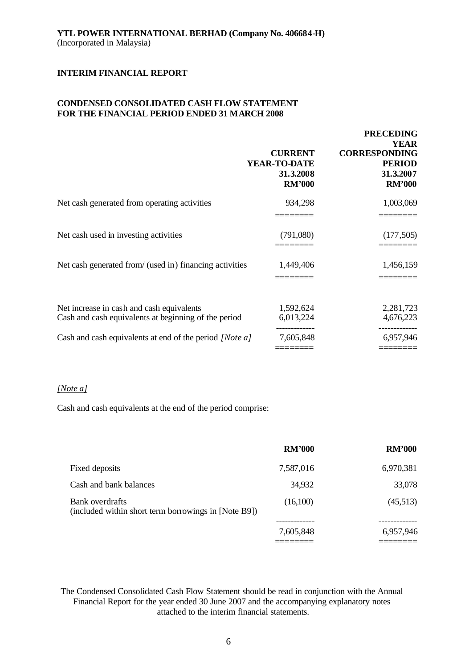# **CONDENSED CONSOLIDATED CASH FLOW STATEMENT FOR THE FINANCIAL PERIOD ENDED 31 MARCH 2008**

|                                                                                                   | <b>CURRENT</b><br>YEAR-TO-DATE<br>31.3.2008<br><b>RM'000</b> | <b>PRECEDING</b><br><b>YEAR</b><br><b>CORRESPONDING</b><br><b>PERIOD</b><br>31.3.2007<br><b>RM'000</b> |
|---------------------------------------------------------------------------------------------------|--------------------------------------------------------------|--------------------------------------------------------------------------------------------------------|
| Net cash generated from operating activities                                                      | 934,298                                                      | 1,003,069                                                                                              |
| Net cash used in investing activities                                                             | (791,080)                                                    | (177, 505)                                                                                             |
| Net cash generated from/ (used in) financing activities                                           | 1,449,406                                                    | 1,456,159                                                                                              |
| Net increase in cash and cash equivalents<br>Cash and cash equivalents at beginning of the period | 1,592,624<br>6,013,224                                       | 2,281,723<br>4,676,223                                                                                 |
| Cash and cash equivalents at end of the period [Note a]                                           | 7,605,848                                                    | 6,957,946                                                                                              |

#### *[Note a]*

Cash and cash equivalents at the end of the period comprise:

|                                                                         | <b>RM'000</b> | <b>RM'000</b> |
|-------------------------------------------------------------------------|---------------|---------------|
| Fixed deposits                                                          | 7,587,016     | 6,970,381     |
| Cash and bank balances                                                  | 34,932        | 33,078        |
| Bank overdrafts<br>(included within short term borrowings in [Note B9]) | (16,100)      | (45,513)      |
|                                                                         |               |               |
|                                                                         | 7,605,848     | 6,957,946     |
|                                                                         |               |               |

The Condensed Consolidated Cash Flow Statement should be read in conjunction with the Annual Financial Report for the year ended 30 June 2007 and the accompanying explanatory notes attached to the interim financial statements.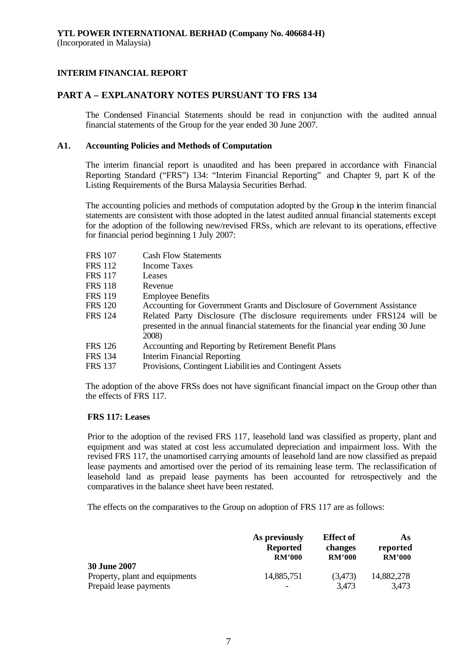# **PART A – EXPLANATORY NOTES PURSUANT TO FRS 134**

The Condensed Financial Statements should be read in conjunction with the audited annual financial statements of the Group for the year ended 30 June 2007.

#### **A1. Accounting Policies and Methods of Computation**

The interim financial report is unaudited and has been prepared in accordance with Financial Reporting Standard ("FRS") 134: "Interim Financial Reporting" and Chapter 9, part K of the Listing Requirements of the Bursa Malaysia Securities Berhad.

The accounting policies and methods of computation adopted by the Group in the interim financial statements are consistent with those adopted in the latest audited annual financial statements except for the adoption of the following new/revised FRSs, which are relevant to its operations, effective for financial period beginning 1 July 2007:

| <b>FRS 107</b> | <b>Cash Flow Statements</b>                                                                                                                                               |
|----------------|---------------------------------------------------------------------------------------------------------------------------------------------------------------------------|
| FRS 112        | <b>Income Taxes</b>                                                                                                                                                       |
| <b>FRS 117</b> | Leases                                                                                                                                                                    |
| FRS 118        | Revenue                                                                                                                                                                   |
| <b>FRS 119</b> | <b>Employee Benefits</b>                                                                                                                                                  |
| <b>FRS 120</b> | Accounting for Government Grants and Disclosure of Government Assistance                                                                                                  |
| <b>FRS</b> 124 | Related Party Disclosure (The disclosure requirements under FRS124 will be<br>presented in the annual financial statements for the financial year ending 30 June<br>2008) |
| <b>FRS 126</b> | Accounting and Reporting by Retirement Benefit Plans                                                                                                                      |
| FRS 134        | Interim Financial Reporting                                                                                                                                               |
| <b>FRS 137</b> | Provisions, Contingent Liabilities and Contingent Assets                                                                                                                  |
|                |                                                                                                                                                                           |

The adoption of the above FRSs does not have significant financial impact on the Group other than the effects of FRS 117.

#### **FRS 117: Leases**

Prior to the adoption of the revised FRS 117, leasehold land was classified as property, plant and equipment and was stated at cost less accumulated depreciation and impairment loss. With the revised FRS 117, the unamortised carrying amounts of leasehold land are now classified as prepaid lease payments and amortised over the period of its remaining lease term. The reclassification of leasehold land as prepaid lease payments has been accounted for retrospectively and the comparatives in the balance sheet have been restated.

The effects on the comparatives to the Group on adoption of FRS 117 are as follows:

|                                                                                 | As previously   | <b>Effect of</b> | As.                 |
|---------------------------------------------------------------------------------|-----------------|------------------|---------------------|
|                                                                                 | <b>Reported</b> | changes          | reported            |
|                                                                                 | RM'000          | <b>RM'000</b>    | <b>RM'000</b>       |
| <b>30 June 2007</b><br>Property, plant and equipments<br>Prepaid lease payments | 14,885,751      | (3,473)<br>3,473 | 14,882,278<br>3,473 |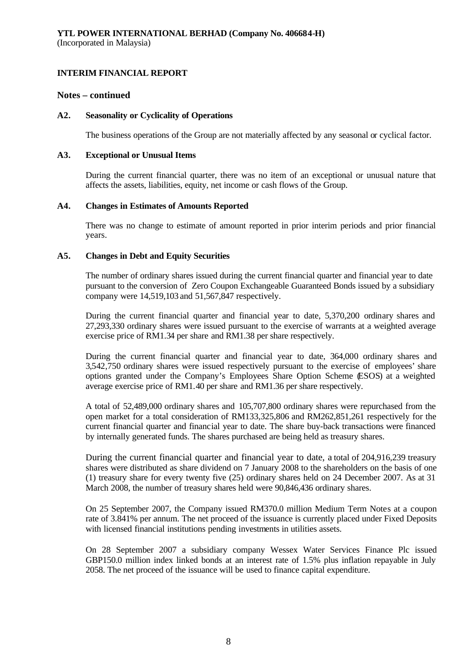### **Notes – continued**

### **A2. Seasonality or Cyclicality of Operations**

The business operations of the Group are not materially affected by any seasonal or cyclical factor.

#### **A3. Exceptional or Unusual Items**

During the current financial quarter, there was no item of an exceptional or unusual nature that affects the assets, liabilities, equity, net income or cash flows of the Group.

### **A4. Changes in Estimates of Amounts Reported**

There was no change to estimate of amount reported in prior interim periods and prior financial years.

### **A5. Changes in Debt and Equity Securities**

The number of ordinary shares issued during the current financial quarter and financial year to date pursuant to the conversion of Zero Coupon Exchangeable Guaranteed Bonds issued by a subsidiary company were 14,519,103 and 51,567,847 respectively.

During the current financial quarter and financial year to date, 5,370,200 ordinary shares and 27,293,330 ordinary shares were issued pursuant to the exercise of warrants at a weighted average exercise price of RM1.34 per share and RM1.38 per share respectively.

During the current financial quarter and financial year to date, 364,000 ordinary shares and 3,542,750 ordinary shares were issued respectively pursuant to the exercise of employees' share options granted under the Company's Employees Share Option Scheme (ESOS) at a weighted average exercise price of RM1.40 per share and RM1.36 per share respectively.

A total of 52,489,000 ordinary shares and 105,707,800 ordinary shares were repurchased from the open market for a total consideration of RM133,325,806 and RM262,851,261 respectively for the current financial quarter and financial year to date. The share buy-back transactions were financed by internally generated funds. The shares purchased are being held as treasury shares.

During the current financial quarter and financial year to date, a total of 204,916,239 treasury shares were distributed as share dividend on 7 January 2008 to the shareholders on the basis of one (1) treasury share for every twenty five (25) ordinary shares held on 24 December 2007. As at 31 March 2008, the number of treasury shares held were 90,846,436 ordinary shares.

On 25 September 2007, the Company issued RM370.0 million Medium Term Notes at a coupon rate of 3.841% per annum. The net proceed of the issuance is currently placed under Fixed Deposits with licensed financial institutions pending investments in utilities assets.

On 28 September 2007 a subsidiary company Wessex Water Services Finance Plc issued GBP150.0 million index linked bonds at an interest rate of 1.5% plus inflation repayable in July 2058. The net proceed of the issuance will be used to finance capital expenditure.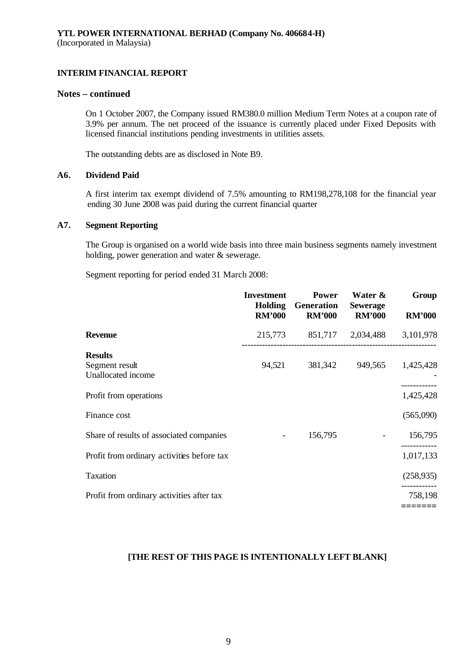# **Notes – continued**

On 1 October 2007, the Company issued RM380.0 million Medium Term Notes at a coupon rate of 3.9% per annum. The net proceed of the issuance is currently placed under Fixed Deposits with licensed financial institutions pending investments in utilities assets.

The outstanding debts are as disclosed in Note B9.

#### **A6. Dividend Paid**

A first interim tax exempt dividend of 7.5% amounting to RM198,278,108 for the financial year ending 30 June 2008 was paid during the current financial quarter

### **A7. Segment Reporting**

The Group is organised on a world wide basis into three main business segments namely investment holding, power generation and water & sewerage.

Segment reporting for period ended 31 March 2008:

|                                                        | <b>Investment</b><br><b>Holding</b><br><b>RM'000</b> | <b>Power</b><br>Generation<br><b>RM'000</b> | Water &<br><b>Sewerage</b><br><b>RM'000</b> | Group<br><b>RM'000</b> |
|--------------------------------------------------------|------------------------------------------------------|---------------------------------------------|---------------------------------------------|------------------------|
| <b>Revenue</b>                                         | 215,773                                              |                                             | 851,717 2,034,488 3,101,978                 |                        |
| <b>Results</b><br>Segment result<br>Unallocated income | 94,521                                               | 381,342                                     | 949,565                                     | 1,425,428              |
| Profit from operations                                 |                                                      |                                             |                                             | ---------<br>1,425,428 |
| Finance cost                                           |                                                      |                                             |                                             | (565,090)              |
| Share of results of associated companies               | $\overline{\phantom{a}}$                             | 156,795                                     |                                             | 156,795                |
| Profit from ordinary activities before tax             |                                                      |                                             |                                             | 1,017,133              |
| Taxation                                               |                                                      |                                             |                                             | (258, 935)             |
| Profit from ordinary activities after tax              |                                                      |                                             |                                             | 758,198                |
|                                                        |                                                      |                                             |                                             |                        |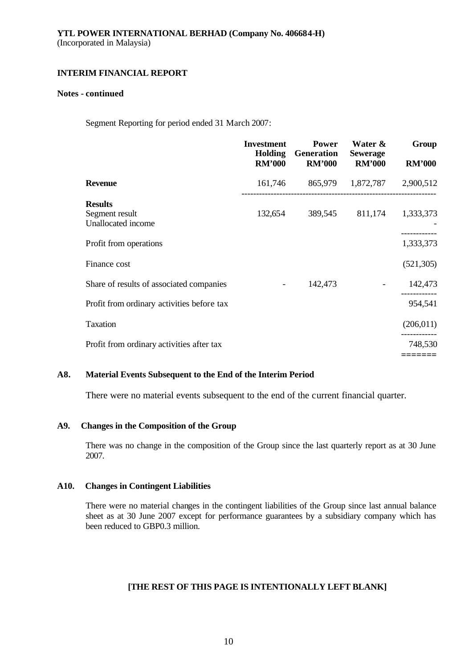#### **Notes - continued**

Segment Reporting for period ended 31 March 2007:

|                                                        | <b>Investment</b><br><b>Holding</b><br><b>RM'000</b> | <b>Power</b><br><b>Generation</b><br><b>RM'000</b> | Water &<br><b>Sewerage</b><br><b>RM'000</b> | Group<br><b>RM'000</b> |
|--------------------------------------------------------|------------------------------------------------------|----------------------------------------------------|---------------------------------------------|------------------------|
| <b>Revenue</b>                                         | 161,746                                              | 865,979                                            | 1,872,787 2,900,512                         |                        |
| <b>Results</b><br>Segment result<br>Unallocated income | 132,654                                              | 389,545                                            | 811,174                                     | 1,333,373              |
| Profit from operations                                 |                                                      |                                                    |                                             | 1,333,373              |
| Finance cost                                           |                                                      |                                                    |                                             | (521, 305)             |
| Share of results of associated companies               | $\overline{\phantom{a}}$                             | 142,473                                            |                                             | 142,473                |
| Profit from ordinary activities before tax             |                                                      |                                                    |                                             | 954,541                |
| Taxation                                               |                                                      |                                                    |                                             | (206, 011)             |
| Profit from ordinary activities after tax              |                                                      |                                                    |                                             | 748,530                |
|                                                        |                                                      |                                                    |                                             |                        |

# **A8. Material Events Subsequent to the End of the Interim Period**

There were no material events subsequent to the end of the current financial quarter.

### **A9. Changes in the Composition of the Group**

There was no change in the composition of the Group since the last quarterly report as at 30 June 2007.

# **A10. Changes in Contingent Liabilities**

There were no material changes in the contingent liabilities of the Group since last annual balance sheet as at 30 June 2007 except for performance guarantees by a subsidiary company which has been reduced to GBP0.3 million.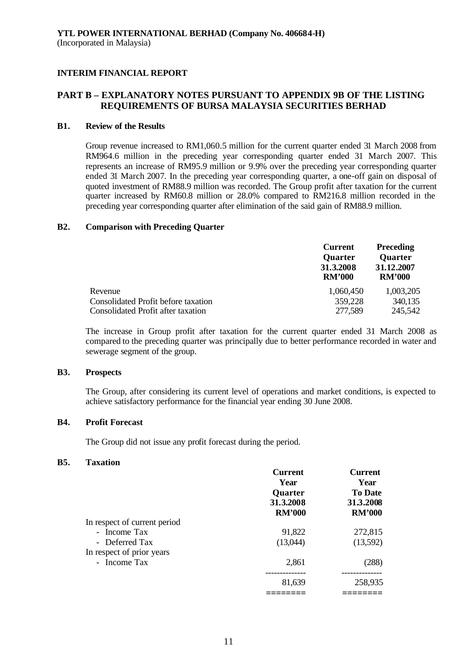# **PART B – EXPLANATORY NOTES PURSUANT TO APPENDIX 9B OF THE LISTING REQUIREMENTS OF BURSA MALAYSIA SECURITIES BERHAD**

# **B1. Review of the Results**

Group revenue increased to RM1,060.5 million for the current quarter ended 31 March 2008 from RM964.6 million in the preceding year corresponding quarter ended 31 March 2007. This represents an increase of RM95.9 million or 9.9% over the preceding year corresponding quarter ended 31 March 2007. In the preceding year corresponding quarter, a one-off gain on disposal of quoted investment of RM88.9 million was recorded. The Group profit after taxation for the current quarter increased by RM60.8 million or 28.0% compared to RM216.8 million recorded in the preceding year corresponding quarter after elimination of the said gain of RM88.9 million.

#### **B2. Comparison with Preceding Quarter**

|                                     | <b>Current</b><br><b>Quarter</b><br>31.3.2008<br><b>RM'000</b> | <b>Preceding</b><br><b>Quarter</b><br>31.12.2007<br><b>RM'000</b> |
|-------------------------------------|----------------------------------------------------------------|-------------------------------------------------------------------|
| Revenue                             | 1,060,450                                                      | 1,003,205                                                         |
| Consolidated Profit before taxation | 359,228                                                        | 340,135                                                           |
| Consolidated Profit after taxation  | 277,589                                                        | 245,542                                                           |

The increase in Group profit after taxation for the current quarter ended 31 March 2008 as compared to the preceding quarter was principally due to better performance recorded in water and sewerage segment of the group.

#### **B3. Prospects**

The Group, after considering its current level of operations and market conditions, is expected to achieve satisfactory performance for the financial year ending 30 June 2008.

# **B4. Profit Forecast**

The Group did not issue any profit forecast during the period.

#### **B5. Taxation**

|                              | <b>Current</b><br>Year<br>Quarter<br>31.3.2008<br><b>RM'000</b> | <b>Current</b><br>Year<br><b>To Date</b><br>31.3.2008<br><b>RM'000</b> |
|------------------------------|-----------------------------------------------------------------|------------------------------------------------------------------------|
|                              |                                                                 |                                                                        |
| In respect of current period |                                                                 |                                                                        |
| - Income Tax                 | 91,822                                                          | 272,815                                                                |
| - Deferred Tax               | (13,044)                                                        | (13,592)                                                               |
| In respect of prior years    |                                                                 |                                                                        |
| - Income Tax                 | 2,861                                                           | (288)                                                                  |
|                              | 81,639                                                          | 258,935                                                                |
|                              |                                                                 |                                                                        |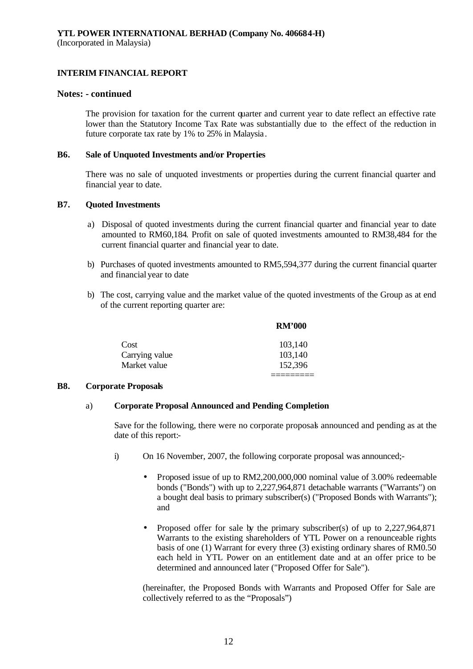(Incorporated in Malaysia)

# **INTERIM FINANCIAL REPORT**

### **Notes: - continued**

The provision for taxation for the current quarter and current year to date reflect an effective rate lower than the Statutory Income Tax Rate was substantially due to the effect of the reduction in future corporate tax rate by 1% to 25% in Malaysia.

#### **B6. Sale of Unquoted Investments and/or Properties**

There was no sale of unquoted investments or properties during the current financial quarter and financial year to date.

### **B7. Quoted Investments**

- a) Disposal of quoted investments during the current financial quarter and financial year to date amounted to RM60,184. Profit on sale of quoted investments amounted to RM38,484 for the current financial quarter and financial year to date.
- b) Purchases of quoted investments amounted to RM5,594,377 during the current financial quarter and financial year to date
- b) The cost, carrying value and the market value of the quoted investments of the Group as at end of the current reporting quarter are:

**RM** *FLOOD* 

|                | KM 000  |
|----------------|---------|
| Cost           | 103,140 |
| Carrying value | 103,140 |
| Market value   | 152,396 |
|                |         |

### **B8. Corporate Proposals**

### a) **Corporate Proposal Announced and Pending Completion**

Save for the following, there were no corporate proposals announced and pending as at the date of this report:-

- i) On 16 November, 2007, the following corporate proposal was announced;-
	- Proposed issue of up to RM2,200,000,000 nominal value of 3.00% redeemable bonds ("Bonds") with up to 2,227,964,871 detachable warrants ("Warrants") on a bought deal basis to primary subscriber(s) ("Proposed Bonds with Warrants"); and
	- Proposed offer for sale by the primary subscriber(s) of up to 2,227,964,871 Warrants to the existing shareholders of YTL Power on a renounceable rights basis of one (1) Warrant for every three (3) existing ordinary shares of RM0.50 each held in YTL Power on an entitlement date and at an offer price to be determined and announced later ("Proposed Offer for Sale").

(hereinafter, the Proposed Bonds with Warrants and Proposed Offer for Sale are collectively referred to as the "Proposals")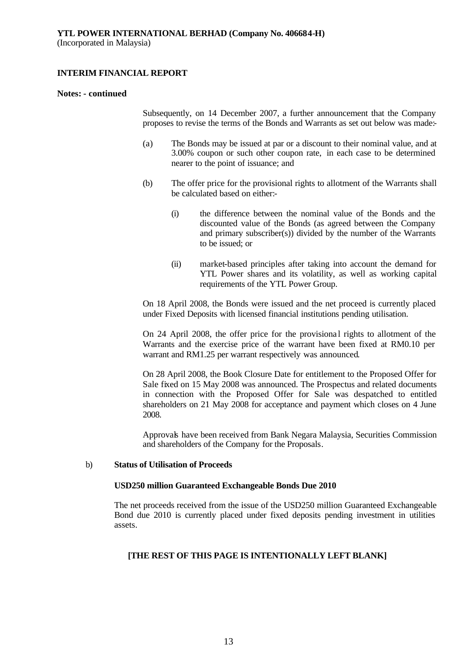#### **Notes: - continued**

Subsequently, on 14 December 2007, a further announcement that the Company proposes to revise the terms of the Bonds and Warrants as set out below was made:-

- (a) The Bonds may be issued at par or a discount to their nominal value, and at 3.00% coupon or such other coupon rate, in each case to be determined nearer to the point of issuance; and
- (b) The offer price for the provisional rights to allotment of the Warrants shall be calculated based on either:-
	- (i) the difference between the nominal value of the Bonds and the discounted value of the Bonds (as agreed between the Company and primary subscriber(s)) divided by the number of the Warrants to be issued; or
	- (ii) market-based principles after taking into account the demand for YTL Power shares and its volatility, as well as working capital requirements of the YTL Power Group.

On 18 April 2008, the Bonds were issued and the net proceed is currently placed under Fixed Deposits with licensed financial institutions pending utilisation.

On 24 April 2008, the offer price for the provisional rights to allotment of the Warrants and the exercise price of the warrant have been fixed at RM0.10 per warrant and RM1.25 per warrant respectively was announced.

On 28 April 2008, the Book Closure Date for entitlement to the Proposed Offer for Sale fixed on 15 May 2008 was announced. The Prospectus and related documents in connection with the Proposed Offer for Sale was despatched to entitled shareholders on 21 May 2008 for acceptance and payment which closes on 4 June 2008.

Approvals have been received from Bank Negara Malaysia, Securities Commission and shareholders of the Company for the Proposals.

#### b) **Status of Utilisation of Proceeds**

#### **USD250 million Guaranteed Exchangeable Bonds Due 2010**

The net proceeds received from the issue of the USD250 million Guaranteed Exchangeable Bond due 2010 is currently placed under fixed deposits pending investment in utilities assets.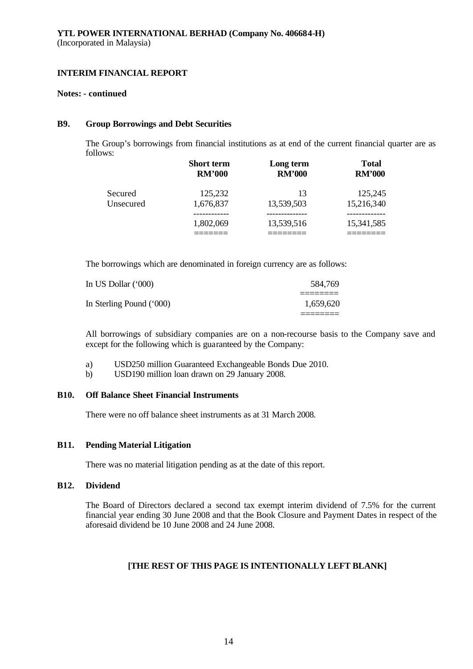#### **Notes: - continued**

#### **B9. Group Borrowings and Debt Securities**

The Group's borrowings from financial institutions as at end of the current financial quarter are as follows:

|           | <b>Short term</b> | Long term     | <b>Total</b>  |
|-----------|-------------------|---------------|---------------|
|           | <b>RM'000</b>     | <b>RM'000</b> | <b>RM'000</b> |
| Secured   | 125,232           | 13            | 125,245       |
| Unsecured | 1,676,837         | 13,539,503    | 15,216,340    |
|           | 1,802,069         | 13,539,516    | 15,341,585    |

The borrowings which are denominated in foreign currency are as follows:

| In US Dollar (*000)      | 584.769   |
|--------------------------|-----------|
| In Sterling Pound ('000) | 1.659.620 |
|                          |           |

All borrowings of subsidiary companies are on a non-recourse basis to the Company save and except for the following which is guaranteed by the Company:

- a) USD250 million Guaranteed Exchangeable Bonds Due 2010.
- b) USD190 million loan drawn on 29 January 2008.

### **B10. Off Balance Sheet Financial Instruments**

There were no off balance sheet instruments as at 31 March 2008.

### **B11. Pending Material Litigation**

There was no material litigation pending as at the date of this report.

### **B12. Dividend**

The Board of Directors declared a second tax exempt interim dividend of 7.5% for the current financial year ending 30 June 2008 and that the Book Closure and Payment Dates in respect of the aforesaid dividend be 10 June 2008 and 24 June 2008.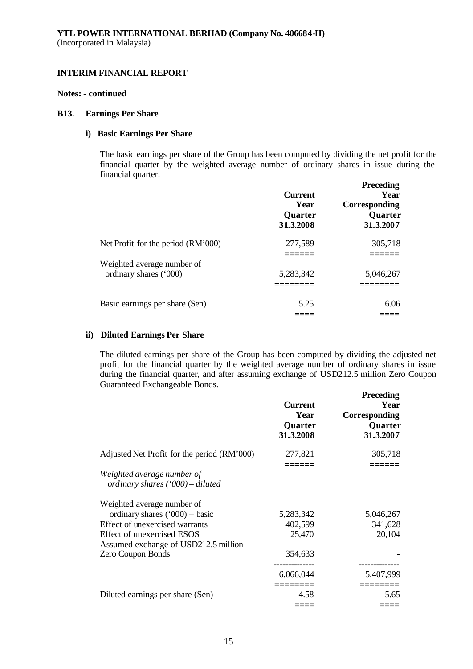#### **Notes: - continued**

#### **B13. Earnings Per Share**

# **i) Basic Earnings Per Share**

The basic earnings per share of the Group has been computed by dividing the net profit for the financial quarter by the weighted average number of ordinary shares in issue during the financial quarter.

**Preceding**

|                                    | <b>Current</b><br>Year<br>Quarter<br>31.3.2008 | 1 receumg<br>Year<br><b>Corresponding</b><br>Quarter<br>31.3.2007 |
|------------------------------------|------------------------------------------------|-------------------------------------------------------------------|
| Net Profit for the period (RM'000) | 277,589                                        | 305,718                                                           |
| Weighted average number of         |                                                |                                                                   |
| ordinary shares ('000)             | 5,283,342                                      | 5,046,267                                                         |
|                                    |                                                |                                                                   |
| Basic earnings per share (Sen)     | 5.25                                           | 6.06                                                              |
|                                    |                                                |                                                                   |

# **ii) Diluted Earnings Per Share**

The diluted earnings per share of the Group has been computed by dividing the adjusted net profit for the financial quarter by the weighted average number of ordinary shares in issue during the financial quarter, and after assuming exchange of USD212.5 million Zero Coupon Guaranteed Exchangeable Bonds.

|                                                                    | <b>Current</b><br>Year<br>Quarter<br>31.3.2008 | <b>Preceding</b><br>Year<br>Corresponding<br>Quarter<br>31.3.2007 |
|--------------------------------------------------------------------|------------------------------------------------|-------------------------------------------------------------------|
| Adjusted Net Profit for the period (RM'000)                        | 277,821                                        | 305,718                                                           |
| Weighted average number of<br>ordinary shares ('000) - diluted     |                                                |                                                                   |
| Weighted average number of                                         |                                                |                                                                   |
| ordinary shares $('000)$ - basic                                   | 5,283,342                                      | 5,046,267                                                         |
| Effect of unexercised warrants                                     | 402,599                                        | 341,628                                                           |
| Effect of unexercised ESOS<br>Assumed exchange of USD212.5 million | 25,470                                         | 20,104                                                            |
| Zero Coupon Bonds                                                  | 354,633                                        |                                                                   |
|                                                                    | 6,066,044                                      | 5,407,999                                                         |
| Diluted earnings per share (Sen)                                   | 4.58                                           | 5.65                                                              |
|                                                                    |                                                |                                                                   |